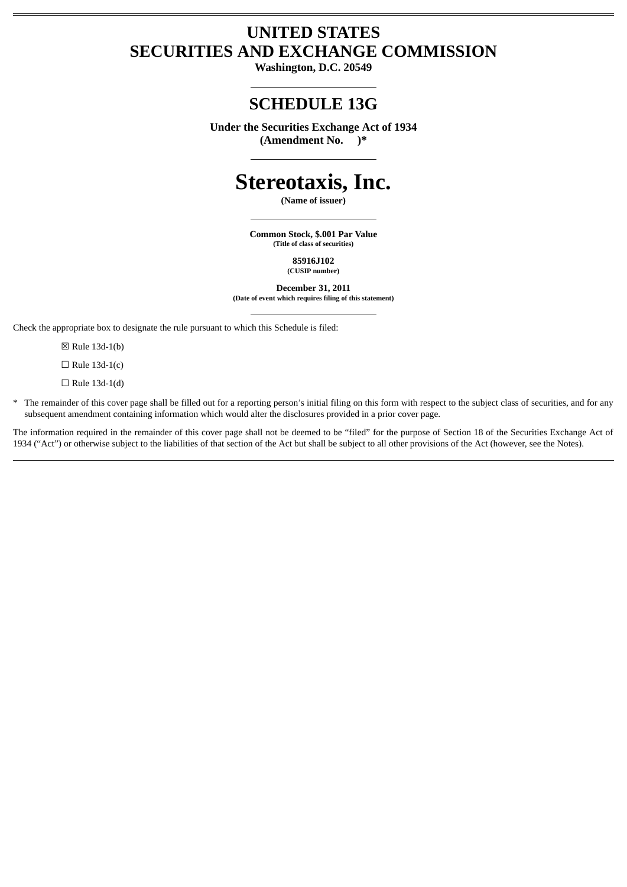## **UNITED STATES SECURITIES AND EXCHANGE COMMISSION**

**Washington, D.C. 20549**

# **SCHEDULE 13G**

**Under the Securities Exchange Act of 1934 (Amendment No. )\***

# **Stereotaxis, Inc.**

**(Name of issuer)**

**Common Stock, \$.001 Par Value (Title of class of securities)**

> **85916J102 (CUSIP number)**

**December 31, 2011 (Date of event which requires filing of this statement)**

Check the appropriate box to designate the rule pursuant to which this Schedule is filed:

☒ Rule 13d-1(b)

 $\Box$  Rule 13d-1(c)

 $\Box$  Rule 13d-1(d)

\* The remainder of this cover page shall be filled out for a reporting person's initial filing on this form with respect to the subject class of securities, and for any subsequent amendment containing information which would alter the disclosures provided in a prior cover page.

The information required in the remainder of this cover page shall not be deemed to be "filed" for the purpose of Section 18 of the Securities Exchange Act of 1934 ("Act") or otherwise subject to the liabilities of that section of the Act but shall be subject to all other provisions of the Act (however, see the Notes).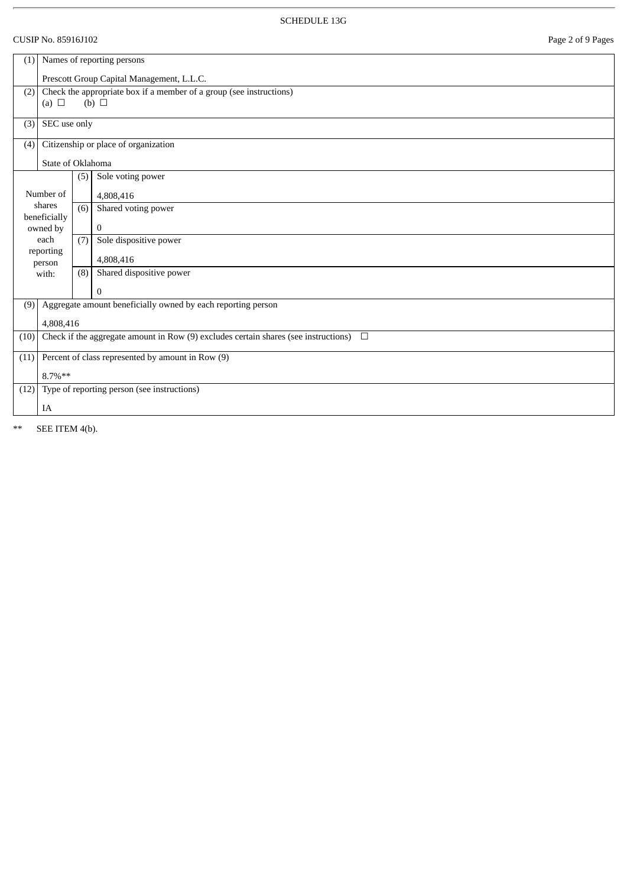## CUSIP No. 85916J102 Page 2 of 9 Pages

| (1)                                                                        | Names of reporting persons                                                                    |     |                                                   |
|----------------------------------------------------------------------------|-----------------------------------------------------------------------------------------------|-----|---------------------------------------------------|
|                                                                            | Prescott Group Capital Management, L.L.C.                                                     |     |                                                   |
| Check the appropriate box if a member of a group (see instructions)<br>(2) |                                                                                               |     |                                                   |
|                                                                            | (a) $\Box$                                                                                    |     | (b) $\Box$                                        |
| (3)                                                                        | SEC use only                                                                                  |     |                                                   |
| (4)                                                                        | Citizenship or place of organization                                                          |     |                                                   |
| State of Oklahoma                                                          |                                                                                               |     |                                                   |
|                                                                            |                                                                                               | (5) | Sole voting power                                 |
|                                                                            | Number of                                                                                     |     | 4,808,416                                         |
|                                                                            | shares<br>beneficially                                                                        | (6) | Shared voting power                               |
|                                                                            | owned by                                                                                      |     | $\bf{0}$                                          |
|                                                                            | each                                                                                          | (7) | Sole dispositive power                            |
|                                                                            | reporting<br>person                                                                           |     | 4,808,416                                         |
|                                                                            | with:                                                                                         | (8) | Shared dispositive power                          |
|                                                                            |                                                                                               |     | $\mathbf{0}$                                      |
| (9)                                                                        | Aggregate amount beneficially owned by each reporting person                                  |     |                                                   |
|                                                                            | 4,808,416                                                                                     |     |                                                   |
| (10)                                                                       | Check if the aggregate amount in Row (9) excludes certain shares (see instructions)<br>$\Box$ |     |                                                   |
| (11)                                                                       |                                                                                               |     | Percent of class represented by amount in Row (9) |
|                                                                            | $8.7\%**$                                                                                     |     |                                                   |
| Type of reporting person (see instructions)<br>(12)                        |                                                                                               |     |                                                   |
|                                                                            | IA                                                                                            |     |                                                   |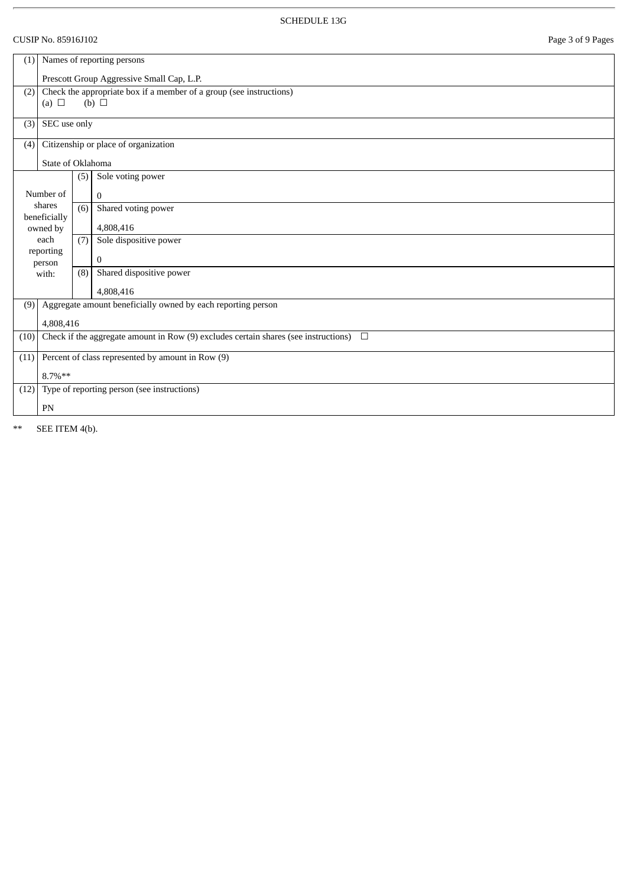## CUSIP No. 85916J102 Page 3 of 9 Pages

| (1)               | Names of reporting persons                                          |                                             |                                                                                               |  |  |
|-------------------|---------------------------------------------------------------------|---------------------------------------------|-----------------------------------------------------------------------------------------------|--|--|
|                   |                                                                     |                                             | Prescott Group Aggressive Small Cap, L.P.                                                     |  |  |
| (2)               | Check the appropriate box if a member of a group (see instructions) |                                             |                                                                                               |  |  |
|                   | (a) $\Box$                                                          |                                             | (b) $\Box$                                                                                    |  |  |
| (3)               | SEC use only                                                        |                                             |                                                                                               |  |  |
| (4)               |                                                                     |                                             | Citizenship or place of organization                                                          |  |  |
| State of Oklahoma |                                                                     |                                             |                                                                                               |  |  |
|                   |                                                                     | (5)                                         | Sole voting power                                                                             |  |  |
|                   |                                                                     |                                             |                                                                                               |  |  |
|                   | Number of<br>shares                                                 |                                             | $\mathbf{0}$                                                                                  |  |  |
|                   | beneficially                                                        | (6)                                         | Shared voting power                                                                           |  |  |
|                   | owned by                                                            |                                             | 4,808,416                                                                                     |  |  |
|                   | each                                                                | (7)                                         | Sole dispositive power                                                                        |  |  |
|                   | reporting<br>person                                                 |                                             | 0                                                                                             |  |  |
|                   | with:                                                               | (8)                                         | Shared dispositive power                                                                      |  |  |
|                   |                                                                     |                                             | 4,808,416                                                                                     |  |  |
| (9)               |                                                                     |                                             | Aggregate amount beneficially owned by each reporting person                                  |  |  |
|                   | 4,808,416                                                           |                                             |                                                                                               |  |  |
| (10)              |                                                                     |                                             | Check if the aggregate amount in Row (9) excludes certain shares (see instructions)<br>$\Box$ |  |  |
| (11)              |                                                                     |                                             | Percent of class represented by amount in Row (9)                                             |  |  |
|                   | $8.7\%**$                                                           |                                             |                                                                                               |  |  |
| (12)              |                                                                     | Type of reporting person (see instructions) |                                                                                               |  |  |
|                   | PN                                                                  |                                             |                                                                                               |  |  |
|                   |                                                                     |                                             |                                                                                               |  |  |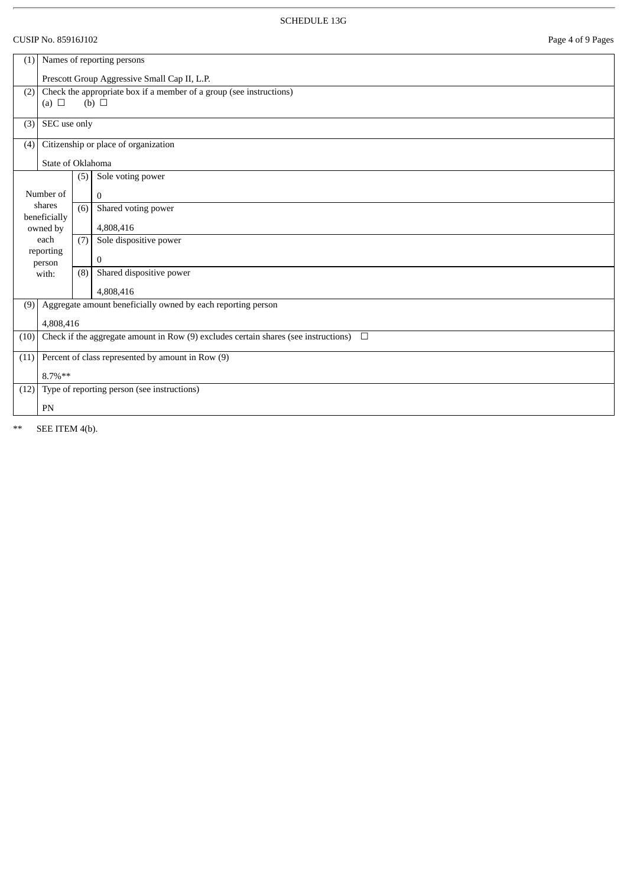## CUSIP No. 85916J102 Page 4 of 9 Pages

| (1)                                                                        | Names of reporting persons |     |                                                                                               |
|----------------------------------------------------------------------------|----------------------------|-----|-----------------------------------------------------------------------------------------------|
|                                                                            |                            |     | Prescott Group Aggressive Small Cap II, L.P.                                                  |
| Check the appropriate box if a member of a group (see instructions)<br>(2) |                            |     |                                                                                               |
|                                                                            | (a) $\Box$                 |     | (b) $\Box$                                                                                    |
| (3)                                                                        | SEC use only               |     |                                                                                               |
| (4)                                                                        |                            |     | Citizenship or place of organization                                                          |
| State of Oklahoma                                                          |                            |     |                                                                                               |
|                                                                            |                            | (5) | Sole voting power                                                                             |
| Number of                                                                  |                            |     | $\mathbf{0}$                                                                                  |
|                                                                            | shares<br>beneficially     | (6) | Shared voting power                                                                           |
|                                                                            | owned by                   |     | 4,808,416                                                                                     |
|                                                                            | each                       | (7) | Sole dispositive power                                                                        |
|                                                                            | reporting<br>person        |     | 0                                                                                             |
|                                                                            | with:                      | (8) | Shared dispositive power                                                                      |
|                                                                            |                            |     | 4,808,416                                                                                     |
| (9)                                                                        |                            |     | Aggregate amount beneficially owned by each reporting person                                  |
|                                                                            | 4,808,416                  |     |                                                                                               |
| (10)                                                                       |                            |     | Check if the aggregate amount in Row (9) excludes certain shares (see instructions)<br>$\Box$ |
| (11)                                                                       |                            |     | Percent of class represented by amount in Row (9)                                             |
|                                                                            | 8.7%**                     |     |                                                                                               |
| (12)<br>Type of reporting person (see instructions)                        |                            |     |                                                                                               |
|                                                                            | PN                         |     |                                                                                               |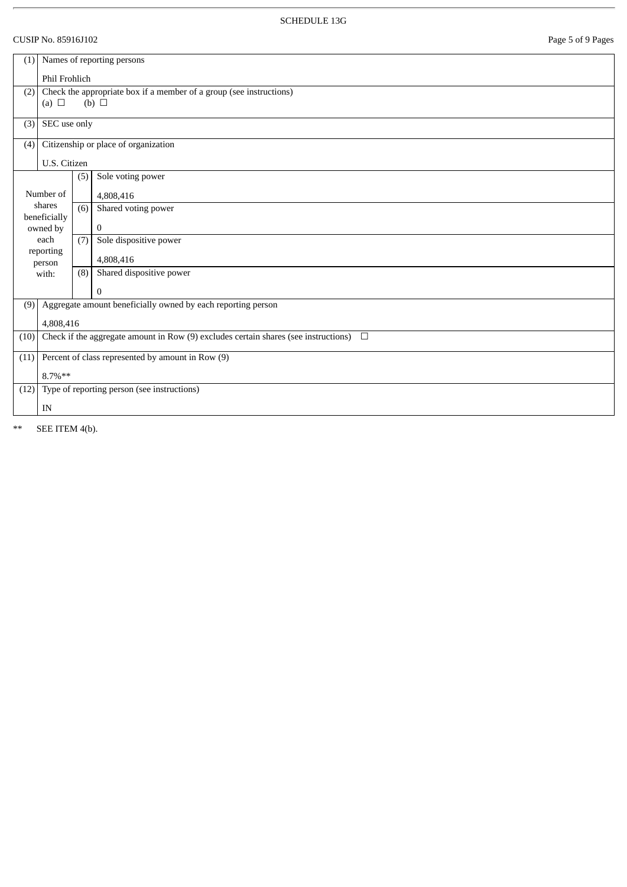## CUSIP No. 85916J102 Page 5 of 9 Pages

| (1)                                                                        | Names of reporting persons |     |                                                                                               |
|----------------------------------------------------------------------------|----------------------------|-----|-----------------------------------------------------------------------------------------------|
|                                                                            | Phil Frohlich              |     |                                                                                               |
| Check the appropriate box if a member of a group (see instructions)<br>(2) |                            |     |                                                                                               |
|                                                                            | (a) $\Box$                 |     | (b) $\Box$                                                                                    |
| (3)                                                                        | SEC use only               |     |                                                                                               |
| (4)                                                                        |                            |     | Citizenship or place of organization                                                          |
|                                                                            | U.S. Citizen               |     |                                                                                               |
|                                                                            |                            | (5) | Sole voting power                                                                             |
|                                                                            | Number of                  |     | 4,808,416                                                                                     |
|                                                                            | shares<br>beneficially     | (6) | Shared voting power                                                                           |
|                                                                            | owned by                   |     | $\bf{0}$                                                                                      |
|                                                                            | each                       | (7) | Sole dispositive power                                                                        |
|                                                                            | reporting<br>person        |     | 4,808,416                                                                                     |
|                                                                            | with:                      | (8) | Shared dispositive power                                                                      |
|                                                                            |                            |     | $\boldsymbol{0}$                                                                              |
| (9)                                                                        |                            |     | Aggregate amount beneficially owned by each reporting person                                  |
|                                                                            | 4,808,416                  |     |                                                                                               |
| (10)                                                                       |                            |     | Check if the aggregate amount in Row (9) excludes certain shares (see instructions)<br>$\Box$ |
| (11)                                                                       |                            |     | Percent of class represented by amount in Row (9)                                             |
|                                                                            | $8.7\%**$                  |     |                                                                                               |
| Type of reporting person (see instructions)<br>(12)                        |                            |     |                                                                                               |
|                                                                            | IN                         |     |                                                                                               |
|                                                                            |                            |     |                                                                                               |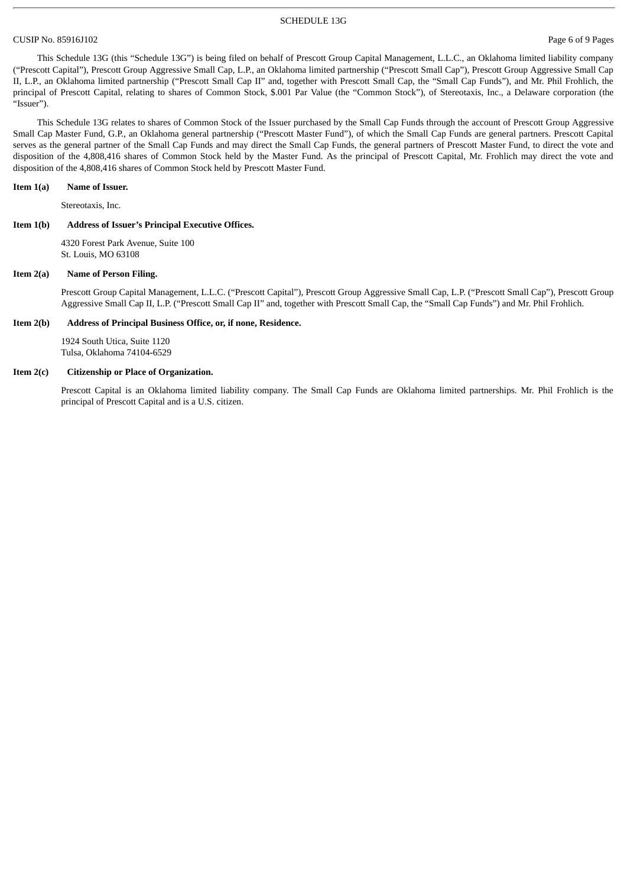#### CUSIP No. 85916J102 Page 6 of 9 Pages

This Schedule 13G (this "Schedule 13G") is being filed on behalf of Prescott Group Capital Management, L.L.C., an Oklahoma limited liability company ("Prescott Capital"), Prescott Group Aggressive Small Cap, L.P., an Oklahoma limited partnership ("Prescott Small Cap"), Prescott Group Aggressive Small Cap II, L.P., an Oklahoma limited partnership ("Prescott Small Cap II" and, together with Prescott Small Cap, the "Small Cap Funds"), and Mr. Phil Frohlich, the principal of Prescott Capital, relating to shares of Common Stock, \$.001 Par Value (the "Common Stock"), of Stereotaxis, Inc., a Delaware corporation (the "Issuer").

This Schedule 13G relates to shares of Common Stock of the Issuer purchased by the Small Cap Funds through the account of Prescott Group Aggressive Small Cap Master Fund, G.P., an Oklahoma general partnership ("Prescott Master Fund"), of which the Small Cap Funds are general partners. Prescott Capital serves as the general partner of the Small Cap Funds and may direct the Small Cap Funds, the general partners of Prescott Master Fund, to direct the vote and disposition of the 4,808,416 shares of Common Stock held by the Master Fund. As the principal of Prescott Capital, Mr. Frohlich may direct the vote and disposition of the 4,808,416 shares of Common Stock held by Prescott Master Fund.

#### **Item 1(a) Name of Issuer.**

Stereotaxis, Inc.

#### **Item 1(b) Address of Issuer's Principal Executive Offices.**

4320 Forest Park Avenue, Suite 100 St. Louis, MO 63108

#### **Item 2(a) Name of Person Filing.**

Prescott Group Capital Management, L.L.C. ("Prescott Capital"), Prescott Group Aggressive Small Cap, L.P. ("Prescott Small Cap"), Prescott Group Aggressive Small Cap II, L.P. ("Prescott Small Cap II" and, together with Prescott Small Cap, the "Small Cap Funds") and Mr. Phil Frohlich.

#### **Item 2(b) Address of Principal Business Office, or, if none, Residence.**

1924 South Utica, Suite 1120 Tulsa, Oklahoma 74104-6529

#### **Item 2(c) Citizenship or Place of Organization.**

Prescott Capital is an Oklahoma limited liability company. The Small Cap Funds are Oklahoma limited partnerships. Mr. Phil Frohlich is the principal of Prescott Capital and is a U.S. citizen.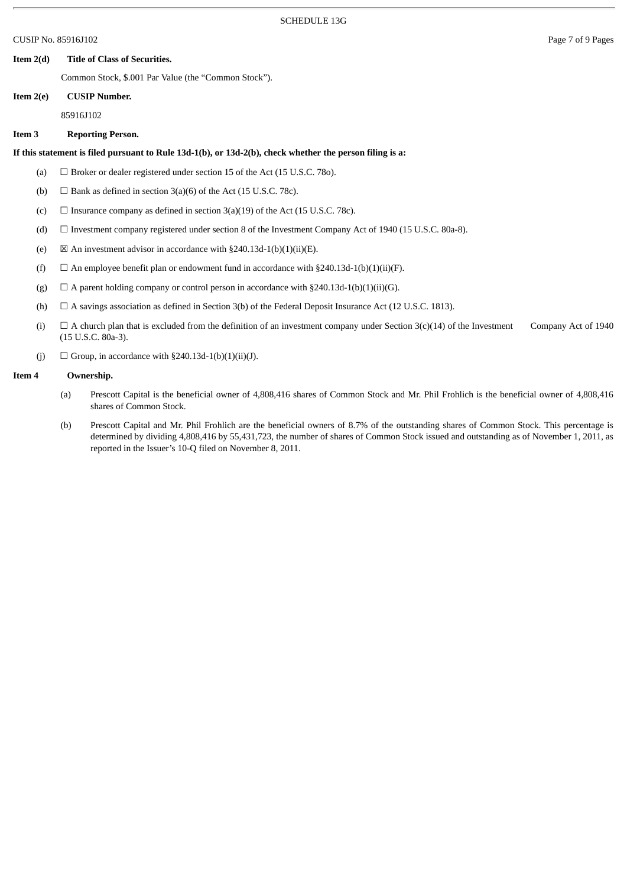CUSIP No. 85916J102 Page 7 of 9 Pages

#### **Item 2(d) Title of Class of Securities.**

Common Stock, \$.001 Par Value (the "Common Stock").

#### **Item 2(e) CUSIP Number.**

85916J102

#### **Item 3 Reporting Person.**

#### **If this statement is filed pursuant to Rule 13d-1(b), or 13d-2(b), check whether the person filing is a:**

- (a)  $\Box$  Broker or dealer registered under section 15 of the Act (15 U.S.C. 780).
- (b)  $\Box$  Bank as defined in section 3(a)(6) of the Act (15 U.S.C. 78c).
- (c)  $\Box$  Insurance company as defined in section 3(a)(19) of the Act (15 U.S.C. 78c).
- (d) ☐ Investment company registered under section 8 of the Investment Company Act of 1940 (15 U.S.C. 80a-8).
- (e)  $\boxtimes$  An investment advisor in accordance with §240.13d-1(b)(1)(ii)(E).
- (f)  $\Box$  An employee benefit plan or endowment fund in accordance with §240.13d-1(b)(1)(ii)(F).
- (g)  $\Box$  A parent holding company or control person in accordance with §240.13d-1(b)(1)(ii)(G).
- (h)  $\Box$  A savings association as defined in Section 3(b) of the Federal Deposit Insurance Act (12 U.S.C. 1813).
- (i)  $\Box$  A church plan that is excluded from the definition of an investment company under Section 3(c)(14) of the Investment Company Act of 1940 (15 U.S.C. 80a-3).
- (j)  $\Box$  Group, in accordance with §240.13d-1(b)(1)(ii)(J).

#### **Item 4 Ownership.**

- (a) Prescott Capital is the beneficial owner of 4,808,416 shares of Common Stock and Mr. Phil Frohlich is the beneficial owner of 4,808,416 shares of Common Stock.
- (b) Prescott Capital and Mr. Phil Frohlich are the beneficial owners of 8.7% of the outstanding shares of Common Stock. This percentage is determined by dividing 4,808,416 by 55,431,723, the number of shares of Common Stock issued and outstanding as of November 1, 2011, as reported in the Issuer's 10-Q filed on November 8, 2011.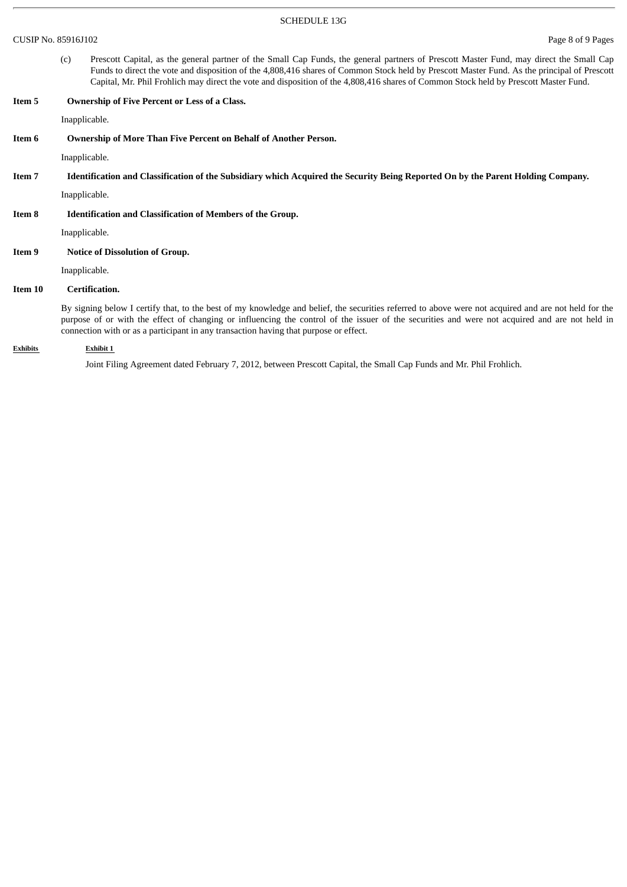CUSIP No. 85916J102 Page 8 of 9 Pages

(c) Prescott Capital, as the general partner of the Small Cap Funds, the general partners of Prescott Master Fund, may direct the Small Cap Funds to direct the vote and disposition of the 4,808,416 shares of Common Stock held by Prescott Master Fund. As the principal of Prescott Capital, Mr. Phil Frohlich may direct the vote and disposition of the 4,808,416 shares of Common Stock held by Prescott Master Fund.

| Item 5  | <b>Ownership of Five Percent or Less of a Class.</b>                                                                                                                                                                                                                                                                                                                                            |
|---------|-------------------------------------------------------------------------------------------------------------------------------------------------------------------------------------------------------------------------------------------------------------------------------------------------------------------------------------------------------------------------------------------------|
|         | Inapplicable.                                                                                                                                                                                                                                                                                                                                                                                   |
| Item 6  | <b>Ownership of More Than Five Percent on Behalf of Another Person.</b>                                                                                                                                                                                                                                                                                                                         |
|         | Inapplicable.                                                                                                                                                                                                                                                                                                                                                                                   |
| Item 7  | Identification and Classification of the Subsidiary which Acquired the Security Being Reported On by the Parent Holding Company.                                                                                                                                                                                                                                                                |
|         | Inapplicable.                                                                                                                                                                                                                                                                                                                                                                                   |
| Item 8  | <b>Identification and Classification of Members of the Group.</b>                                                                                                                                                                                                                                                                                                                               |
|         | Inapplicable.                                                                                                                                                                                                                                                                                                                                                                                   |
| Item 9  | <b>Notice of Dissolution of Group.</b>                                                                                                                                                                                                                                                                                                                                                          |
|         | Inapplicable.                                                                                                                                                                                                                                                                                                                                                                                   |
| Item 10 | Certification.                                                                                                                                                                                                                                                                                                                                                                                  |
|         | By signing below I certify that, to the best of my knowledge and belief, the securities referred to above were not acquired and are not held for the<br>purpose of or with the effect of changing or influencing the control of the issuer of the securities and were not acquired and are not held in<br>connection with or as a participant in any transaction having that purpose or effect. |

**Exhibits Exhibit 1**

Joint Filing Agreement dated February 7, 2012, between Prescott Capital, the Small Cap Funds and Mr. Phil Frohlich.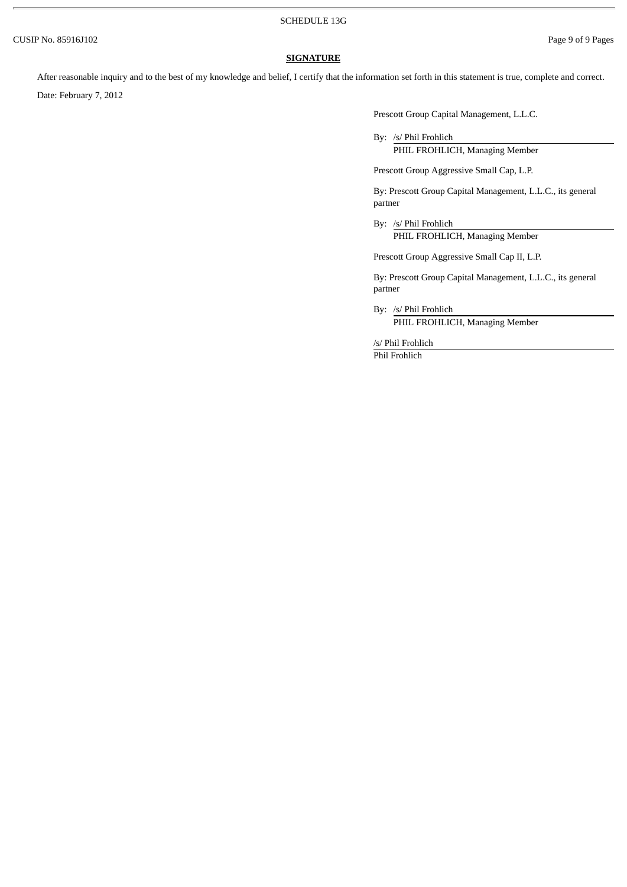#### **SIGNATURE**

After reasonable inquiry and to the best of my knowledge and belief, I certify that the information set forth in this statement is true, complete and correct.

Date: February 7, 2012

Prescott Group Capital Management, L.L.C.

By: /s/ Phil Frohlich

PHIL FROHLICH, Managing Member

Prescott Group Aggressive Small Cap, L.P.

By: Prescott Group Capital Management, L.L.C., its general partner

By: /s/ Phil Frohlich PHIL FROHLICH, Managing Member

Prescott Group Aggressive Small Cap II, L.P.

By: Prescott Group Capital Management, L.L.C., its general partner

By: /s/ Phil Frohlich PHIL FROHLICH, Managing Member

/s/ Phil Frohlich

Phil Frohlich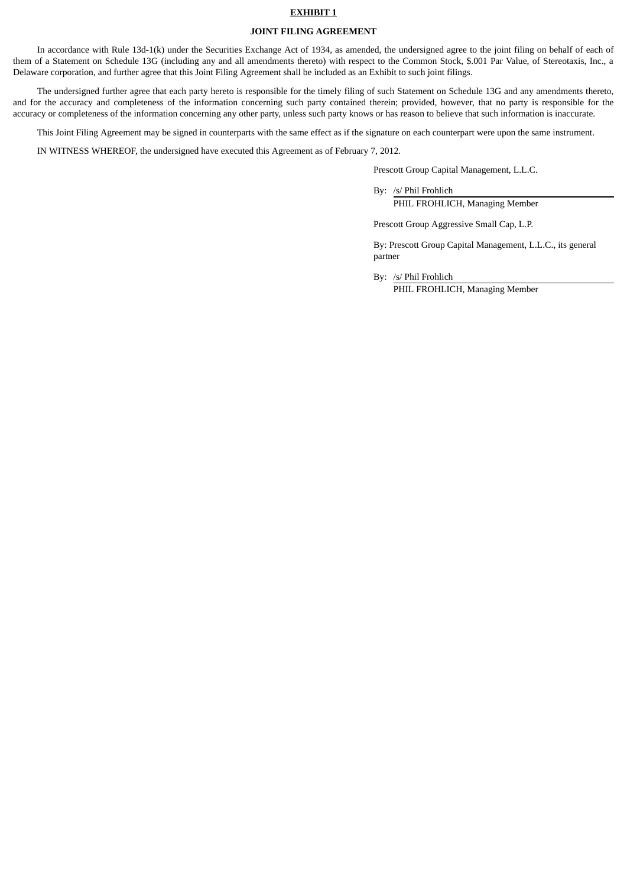#### **EXHIBIT 1**

#### **JOINT FILING AGREEMENT**

In accordance with Rule 13d-1(k) under the Securities Exchange Act of 1934, as amended, the undersigned agree to the joint filing on behalf of each of them of a Statement on Schedule 13G (including any and all amendments thereto) with respect to the Common Stock, \$.001 Par Value, of Stereotaxis, Inc., a Delaware corporation, and further agree that this Joint Filing Agreement shall be included as an Exhibit to such joint filings.

The undersigned further agree that each party hereto is responsible for the timely filing of such Statement on Schedule 13G and any amendments thereto, and for the accuracy and completeness of the information concerning such party contained therein; provided, however, that no party is responsible for the accuracy or completeness of the information concerning any other party, unless such party knows or has reason to believe that such information is inaccurate.

This Joint Filing Agreement may be signed in counterparts with the same effect as if the signature on each counterpart were upon the same instrument.

IN WITNESS WHEREOF, the undersigned have executed this Agreement as of February 7, 2012.

Prescott Group Capital Management, L.L.C.

By: /s/ Phil Frohlich

PHIL FROHLICH, Managing Member

Prescott Group Aggressive Small Cap, L.P.

By: Prescott Group Capital Management, L.L.C., its general partner

By: /s/ Phil Frohlich

PHIL FROHLICH, Managing Member